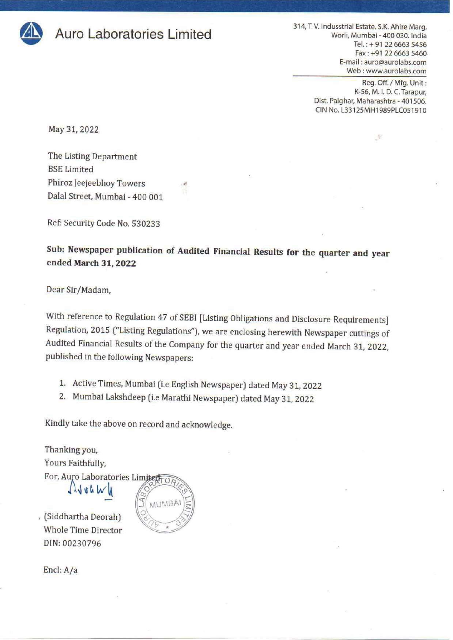

314, T. V. Indusstrial Estate, S.K. Ahire Marg,<br>Worli, Mumbai - 400 030. India<br>Tel.: + 91 22 6663 5456 Fax: +91 22 6663 5460 E-mail : auro@aurolabs.com Web : www.aurolabs.com 314, T. V. Indusstrial E<br>Worli, Mu<br>F<sub>6</sub><br>E-mail<br>Web

Reg. Off. / Mfg. Unit : K-56, M. |. D.C. Tarapur, Dist. Palghar, Maharashtra - 401506. CIN No. L33125MH1989PLC051910

 $\mathcal{R}$ 

May 31, 2022

The Listing Department BSE Limited Phiroz Jeejeebhoy Towers Dalal Street, Mumbai - 400 001

Ref: Security Code No. 530233

Sub: Newspaper publication of Audited Financial Results for the quarter and year ended March 31, 2022

Dear Sir/Madam,

With reference to Regulation 47 of SEBI [Listing Obligations and Disclosure Requirements]<br>Regulation, 2015 ("Listing Regulations"), we are enclosing herewith Newspaper cuttings of Audited Financial Results of the Company for the quarter and year ended March 31, 2022, published in the following Newspapers:

- 1. Active Times, Mumbai (i.e English Newspaper) dated May 31, 2022
- 2. Mumbai Lakshdeep (i.e Marathi Newspaper) dated May 31, 2022

Kindly take the above on record and acknowledge.

Thanking you, Yours Faithfully,

For, Auro Laboratories Limited<br> $\bigcap_{k=0}^{\infty}$  when

. (Siddhartha Deorah)  $\bigotimes_{k=0}^{\infty}$ DIN: 00230796

 $\overline{OA}$ MUMBA

Encl: A/a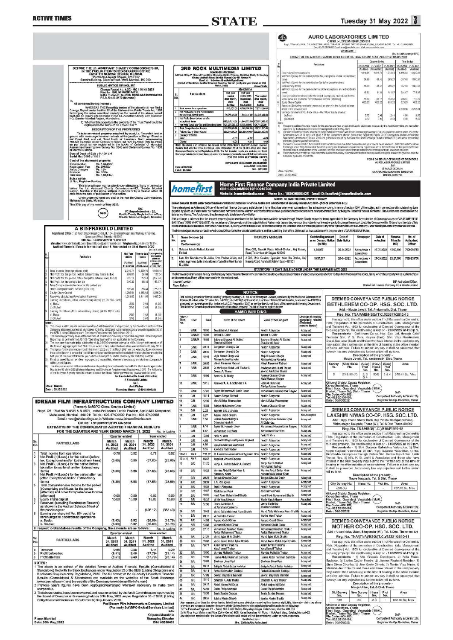## ACTIVE TIMES

## ACTIVE TIMES<br>STATE

## Tuesday 31 May 2022 3

|                                                                                                                                                                                                                                                                                                                                                                                                                                                                                                                                                                                                                                                                                                                                                                                                                                                                                                                                                                                                                                                                                                                                                                                                                                                                                                                                                                                                                                                                                                                                                                                                                                                                                                                                     |                                                                                                                                                                                                                                                                                                                                                                           |                                                                                                                                                                                                  |                                                                | <b>STATE</b>                                    |                                                                                                                                                                                                                                 |                                    |                                                                                                                                                                                                                                                                                                                                                                                                                                                                                                                                                                                                                                                                                                                                                                                                                                                                                                                                                                                                                                                                                                                                                                                                                                                                                                                                                     | Æ                                                                                                                                                                                                                                                                       | Tuesday 31 May 2022 3<br><b>AURO LABORATORIES LIMITED</b><br>CIN NO. : - L33125MH1989PLC051910                                                                                                                                                                                                          |                                                                                                                                                                                                                                                                                                                                                                                                                                                                                                                                                                                                                                                                                                                                                                                                                                                                                                                                                                                                                                                                                                                                                                                                                                                                                                                                                                                                                                                                                                                                                                                                                                                                                                                                                                                                                                                                                                                                                                                                                                                                                                                                                                                               |  |
|-------------------------------------------------------------------------------------------------------------------------------------------------------------------------------------------------------------------------------------------------------------------------------------------------------------------------------------------------------------------------------------------------------------------------------------------------------------------------------------------------------------------------------------------------------------------------------------------------------------------------------------------------------------------------------------------------------------------------------------------------------------------------------------------------------------------------------------------------------------------------------------------------------------------------------------------------------------------------------------------------------------------------------------------------------------------------------------------------------------------------------------------------------------------------------------------------------------------------------------------------------------------------------------------------------------------------------------------------------------------------------------------------------------------------------------------------------------------------------------------------------------------------------------------------------------------------------------------------------------------------------------------------------------------------------------------------------------------------------------|---------------------------------------------------------------------------------------------------------------------------------------------------------------------------------------------------------------------------------------------------------------------------------------------------------------------------------------------------------------------------|--------------------------------------------------------------------------------------------------------------------------------------------------------------------------------------------------|----------------------------------------------------------------|-------------------------------------------------|---------------------------------------------------------------------------------------------------------------------------------------------------------------------------------------------------------------------------------|------------------------------------|-----------------------------------------------------------------------------------------------------------------------------------------------------------------------------------------------------------------------------------------------------------------------------------------------------------------------------------------------------------------------------------------------------------------------------------------------------------------------------------------------------------------------------------------------------------------------------------------------------------------------------------------------------------------------------------------------------------------------------------------------------------------------------------------------------------------------------------------------------------------------------------------------------------------------------------------------------------------------------------------------------------------------------------------------------------------------------------------------------------------------------------------------------------------------------------------------------------------------------------------------------------------------------------------------------------------------------------------------------|-------------------------------------------------------------------------------------------------------------------------------------------------------------------------------------------------------------------------------------------------------------------------|---------------------------------------------------------------------------------------------------------------------------------------------------------------------------------------------------------------------------------------------------------------------------------------------------------|-----------------------------------------------------------------------------------------------------------------------------------------------------------------------------------------------------------------------------------------------------------------------------------------------------------------------------------------------------------------------------------------------------------------------------------------------------------------------------------------------------------------------------------------------------------------------------------------------------------------------------------------------------------------------------------------------------------------------------------------------------------------------------------------------------------------------------------------------------------------------------------------------------------------------------------------------------------------------------------------------------------------------------------------------------------------------------------------------------------------------------------------------------------------------------------------------------------------------------------------------------------------------------------------------------------------------------------------------------------------------------------------------------------------------------------------------------------------------------------------------------------------------------------------------------------------------------------------------------------------------------------------------------------------------------------------------------------------------------------------------------------------------------------------------------------------------------------------------------------------------------------------------------------------------------------------------------------------------------------------------------------------------------------------------------------------------------------------------------------------------------------------------------------------------------------------------|--|
|                                                                                                                                                                                                                                                                                                                                                                                                                                                                                                                                                                                                                                                                                                                                                                                                                                                                                                                                                                                                                                                                                                                                                                                                                                                                                                                                                                                                                                                                                                                                                                                                                                                                                                                                     |                                                                                                                                                                                                                                                                                                                                                                           |                                                                                                                                                                                                  |                                                                |                                                 |                                                                                                                                                                                                                                 |                                    |                                                                                                                                                                                                                                                                                                                                                                                                                                                                                                                                                                                                                                                                                                                                                                                                                                                                                                                                                                                                                                                                                                                                                                                                                                                                                                                                                     |                                                                                                                                                                                                                                                                         |                                                                                                                                                                                                                                                                                                         | Rept. Office: K - 56 M J.D.C. INDUSTRUAL AREA, TARAPUR ECUSAR, DIST. PALGHAR 401506, MAHARASHTRA. Tel: +91-22-8663456<br>Fax:+91-22-RRS540 Email surgigeurdabs.com Web: innva surplete com-<br>ANNEXURE - I<br>(Rs. In Lakhs except EPS)<br>EXTRACT OF THE AUDITED FINANCIAL RESULTS FOR THE QUARTER AND YEAR ENDED 31ST MARCH 2022.                                                                                                                                                                                                                                                                                                                                                                                                                                                                                                                                                                                                                                                                                                                                                                                                                                                                                                                                                                                                                                                                                                                                                                                                                                                                                                                                                                                                                                                                                                                                                                                                                                                                                                                                                                                                                                                          |  |
| BEFORE THE LD. ASSISTANT CHARITY COMMISSIONER-HO,<br>To.<br>All concerned having interest :-<br>Deeps Research The Research process of the above trust has filed a<br>Cheeps Republic Code of the Manushine Public Truste Act in the property of the Manushine Public Truste Act, 1960<br>In the main of the matter of the main proc<br>To take on record property acquired by triat i.o. Franchofi innti or product ground with measure announcement attack at the Junction of Davish Street or 463.80 Sq. Yards are 4 July Round or 100 Value of 463.80 Sq. Yards a<br>of Mandyi Division.<br>Date of Deed of Sale: 14/10/1971<br>Sorial No.: 3168 of 1971<br>Cost of the abovesaid property.<br>Consideration<br>Registration Fee                                                                                                                                                                                                                                                                                                                                                                                                                                                                                                                                                                                                                                                                                                                                                                                                                                                                                                                                                                                                | IN THE PUBLIC TRUSTS REGISTRATION OFFICE<br>GREATER MUMBAI REGION, MUMBAI.<br>Dharmadaya Ayukta Bhavan, 2nd Floor,<br>Sasmira Building, Sasmira Roed, Worli, Mumbai- 400 030.<br>PUBLIC NOTICE OF INQUIRY<br>P.T.R. No. E-2179 (Mumbal)<br>registered in the name of the above Trust ?<br>DESCRIPTION OF THE PROPERTIES<br>Ps: 1,66,000/-<br>: Rs: 596.50/-<br>: Rs: 12/- | Change Report No. ACC - HO / 1414 / 2022<br>Filed by : SALIM FAKIR PATEL<br>In the matter of : ALIPUR MUSLIM ASSOCIATION<br>1) Whether this property is the property of the Trust 7 and could be |                                                                | BI.<br>NO.<br><b>Ciuted</b><br>Date: 30/03/2822 | <b>Particulars</b><br>1 Trial income in a operations<br>tax and createred tems<br>No: Px/8/ 8.000 before the offer-<br>expectional terms<br>5 Total Comprehensive Insome<br>6 Feld up Equity Shere Copital<br>Earning Por Share | Net Px/R/Loss for the Partod Belon | 3RD ROCK MULTIMEDIA LIMITED<br>L740069892012PLC230932<br>31 Ground Floor, Horst Shopping Centre Premises Dadshhai Road, Nr Nav<br>Cinema Andheri (Wood) Nambai Mumbai City NH 400058 IV<br>Ernal Id: 3rdrockmultimodiately gmail.com<br>(Extract of Standalone Audited Financial Result for the half yearly and year ended on 31st<br>March, 2022)<br>Stendalone<br><b>Full</b> year<br>Half year<br>ended 30th<br>onded<br><b>Stat March.</b><br><b>Suptember</b><br>2021<br>2022<br>Audite<br>Undertite<br>915,001.00 6,796,790.00<br>36,626,728,00<br>1,864,772.00<br>25,027,118.00<br>1,844,772.00-25,871,888.0<br>4   Net Profit (Loss) alter Tax and Exceptional flores   125,295,988.00 -1,505,266.00   126,711,250.00<br>-125.235.083.00 -1.503.266.00 - 126.741.250.00<br>225,237,500.00 225,237,500.00 225,237,500.00<br>$-4.02$<br>$-0.07$<br>Note: The above is an extrest of the detailed format of Standalons Quarterly Audited Financial<br>Results filed with the Stock Exchange under Requisitor: 33 of the BEBI( Listing and Other<br>Disclosure Requirements) Regalations, 2015. The full financial results are sundative on Stock<br>Enchange website (www.nseindaucont) and on the Company's wabsite rujaun@ Endrockmultimedia<br>FOR 3RD ROCK MULTIMEDIA LIMITED<br>BIDDHARTH YASHAWANT WACHAMARE<br><b>HANAGING DIRECTOR</b> | Total income from constitute<br><b>Across in Re</b><br>patteord nary items)<br>Year ended<br>31st March<br>2622<br>Equity Share Capital<br><b>Audited</b><br>7.671,250.00<br>Sheet of the provious year<br>37,473,502.00<br>(a) Basic<br>(b) Divise<br>$-860$<br>$-563$ | Particulars<br>Net Profit I (Lose) for the period before Tex (efter exceptional and<br>period (after tex) and other comprehensive income (after tex))<br>Earnings per share (EPS) (Face Value - Ra. 10 per Equity Shares):<br>principles generally accepted thindig.<br>disclosed by maans of foothota. | Year Bedoc<br><b>Quarter linded</b><br>31.03.2022 31.12.2021 31.03.2021 31.03.2022 31.03.2021<br>(Audited) (Unaudited)<br>(Audited)<br>(Audited) (Audited)<br>12157<br>1,373.63<br>5,195.83<br>5,500.06<br>1816.51<br>Net Profit i (Loss) for the period dividere Tax, exceptional and/or extraordinary<br>1.050.54<br>54.00<br>81.48<br>289.23<br>337.40<br>54.99<br>81.48<br>269.2<br>367.40<br>1,050.54<br>Net Profit (i, oss) for the period after Tex (After exceptional and extraordinary<br>45.50<br>81.79<br>151.87<br>284.47<br>717.96<br>Total Comprehensive Income for the period (comprising Profs) Loss) for the<br>58.64<br>67.18<br>1938<br>245.8<br>719.72<br>623.25<br>623.25<br>623.25<br>623.25<br>823.25<br>Reparves (Excluding revaluation reserves) as shown in the Audited belance<br>2.235.01<br>2.528.85<br>8.73<br>0.96<br>2.44<br>4.56<br>11.52<br>0.73<br>0.68<br>241<br>4.58<br>11.53<br>The above subject financial results for the quarter and year ended 31st March, 2022 were reviewed by the Audit Committee and thereafter<br>approved by the Board of Directors at meeting held on 30th Ney, 2022.<br>The above audied results, have been prepared in accordance with Indian Accounting Standards (ND AS) actified under realion 133 of the<br>Companies Act, 2013 read with Rule 3 of the Companies (Indian Accounting Standard) Rules<br>Standards) (Amondmont) Rules, 2016 and guidelines issued by the Securities and Exchange Board of India (SEBI) and other accounting<br>The above is an extract of the detailed format of standalone results for the quarter and year ended as on March 31. 2022 fied with the Stock<br>Exchange under Regulation 33 of the SEBI (Listing and Disclosure requirements) regulations, 2015. the full format of the quarterly/Amual<br>francisi results are available on the Company webiste www.aurolabs.com.and on the stock exchange website, www.bseindia.com<br>The impact en not profit/oss, fotal comprehe sive income on any other relevant financial teen(s) due to change(s) in according policies shall be<br>FOR & ON BEHALF OF BOARD OF DIRECTORS<br>AURO LABORATORIES LIMITED<br>S<br>(SHARAT DEORAH) |  |
| <b>Xerox Charges</b><br>: Re. 3.50/-<br>Postage<br>Total cost<br>Sub-district:<br>It Sub Registrar-Bombay                                                                                                                                                                                                                                                                                                                                                                                                                                                                                                                                                                                                                                                                                                                                                                                                                                                                                                                                                                                                                                                                                                                                                                                                                                                                                                                                                                                                                                                                                                                                                                                                                           | : Rs. 1,66,614J-                                                                                                                                                                                                                                                                                                                                                          |                                                                                                                                                                                                  |                                                                | Place : Mumbai                                  |                                                                                                                                                                                                                                 |                                    |                                                                                                                                                                                                                                                                                                                                                                                                                                                                                                                                                                                                                                                                                                                                                                                                                                                                                                                                                                                                                                                                                                                                                                                                                                                                                                                                                     | DIN - 08721909<br>Place : Mumball<br>Date: 30.05.2022<br>Home First Finance Company India Private Limited                                                                                                                                                               |                                                                                                                                                                                                                                                                                                         | CHAIRMAN & MANAGING DIRECTOR<br>DIN NO. 00230784                                                                                                                                                                                                                                                                                                                                                                                                                                                                                                                                                                                                                                                                                                                                                                                                                                                                                                                                                                                                                                                                                                                                                                                                                                                                                                                                                                                                                                                                                                                                                                                                                                                                                                                                                                                                                                                                                                                                                                                                                                                                                                                                              |  |
| This is to call upon you to authmit your objections, if any in the matter<br>before the Ld. Assistant Charity Commissioner-HO, Greater Mumbai<br>Region, Mumbai st the above address in person or by a pleader within 30<br>days from the date of publication of this notice.<br>Maharashtra State, Mumbei                                                                                                                                                                                                                                                                                                                                                                                                                                                                                                                                                                                                                                                                                                                                                                                                                                                                                                                                                                                                                                                                                                                                                                                                                                                                                                                                                                                                                          | Given under my hand and seal of the Hon'ble Chi                                                                                                                                                                                                                                                                                                                           |                                                                                                                                                                                                  |                                                                |                                                 | noments                                                                                                                                                                                                                         |                                    | CIN: L65990MH2010PLC240703<br>5ale of Secured assets under Securitisation and Reconstruction of Financial Assets and Enforcement of Security Interest Act, 2002—(Notice Under Rule 8 (6))                                                                                                                                                                                                                                                                                                                                                                                                                                                                                                                                                                                                                                                                                                                                                                                                                                                                                                                                                                                                                                                                                                                                                           |                                                                                                                                                                                                                                                                         | NOTICE OF SALE THROUGH PRIVATE TREATY                                                                                                                                                                                                                                                                   | Website: homefirstindia.com Phone No.: 180030008425 Email ID: loanfirst@homefirstindia.com                                                                                                                                                                                                                                                                                                                                                                                                                                                                                                                                                                                                                                                                                                                                                                                                                                                                                                                                                                                                                                                                                                                                                                                                                                                                                                                                                                                                                                                                                                                                                                                                                                                                                                                                                                                                                                                                                                                                                                                                                                                                                                    |  |
| This 27th day of the month of May 2022.<br>Seal                                                                                                                                                                                                                                                                                                                                                                                                                                                                                                                                                                                                                                                                                                                                                                                                                                                                                                                                                                                                                                                                                                                                                                                                                                                                                                                                                                                                                                                                                                                                                                                                                                                                                     |                                                                                                                                                                                                                                                                                                                                                                           | 5d<br>VC Superintendent - (J),<br>Public Trusts Registration office,<br>Greater Mumbal Region, Mumbal                                                                                            |                                                                |                                                 |                                                                                                                                                                                                                                 |                                    | date as mentioned. The Auction could not be successful due to lack of any bidder                                                                                                                                                                                                                                                                                                                                                                                                                                                                                                                                                                                                                                                                                                                                                                                                                                                                                                                                                                                                                                                                                                                                                                                                                                                                    |                                                                                                                                                                                                                                                                         |                                                                                                                                                                                                                                                                                                         | The undersigned as Authorized Officer of Home First Finance Company India Limited (Home First) has taken over possession of the schedules property, in terms of section 13(4) of the subject act in connection with outstandin<br>payable by you to us. Please refer our Notice dated mentioned below, wherein we informed that we have published Auction Nation in the newspaper mentioned by fixing the Reserve Price as mentioned. The Auction was scheduled<br>Public attarge is informed that the secured property(les) as mentioned in the Schedule are available for sale through Private Treaty, as per the terms agresable to the Company for realisation of Company's dues on "AS IS WH                                                                                                                                                                                                                                                                                                                                                                                                                                                                                                                                                                                                                                                                                                                                                                                                                                                                                                                                                                                                                                                                                                                                                                                                                                                                                                                                                                                                                                                                                             |  |
| A B INFRABUILD LIMITED<br>Registered Office : 1st Roor, Shubhangan CHS Ltd. 104, Jawahar Nagar Near Railway Crossing.                                                                                                                                                                                                                                                                                                                                                                                                                                                                                                                                                                                                                                                                                                                                                                                                                                                                                                                                                                                                                                                                                                                                                                                                                                                                                                                                                                                                                                                                                                                                                                                                               | Goregaco (West) Mumbel 400062                                                                                                                                                                                                                                                                                                                                             |                                                                                                                                                                                                  |                                                                |                                                 | Name Borrower (s)                                                                                                                                                                                                               |                                    |                                                                                                                                                                                                                                                                                                                                                                                                                                                                                                                                                                                                                                                                                                                                                                                                                                                                                                                                                                                                                                                                                                                                                                                                                                                                                                                                                     | PROPERTY ADDRESS                                                                                                                                                                                                                                                        | <b>Cutstanding amount</b>                                                                                                                                                                                                                                                                               | BASIS"and "AS IS WHAT IS BASIS". Hence, in terms of the provisions of the subjectAct and Rules media thereunder, we issue the notice to you to enable you to discharge the amount due to the Company within 15 days from the d<br>nolice and fake back the seasts mentioned in the schedule, failing which the assets will be sold to discharge the labitities. This is without prejudice to any other tights and abie both a Company under the subject Act or a<br>The Interested parties may contact the Authorized Officer for further details/ clarifications and for submitting their offers. Sale shall be in accordance with the provisions of SARFAESIAci / Rules.<br>Data of<br>Nowspaper<br>Date of<br>Resorve<br>No. of                                                                                                                                                                                                                                                                                                                                                                                                                                                                                                                                                                                                                                                                                                                                                                                                                                                                                                                                                                                                                                                                                                                                                                                                                                                                                                                                                                                                                                                            |  |
| Website: www.abinfabuld.com Email (D:-co@abinfabuld.com Telephone No.:- 022-28712114<br>Audited Financial Results for the Half Year & Year ended on 31st March 2022                                                                                                                                                                                                                                                                                                                                                                                                                                                                                                                                                                                                                                                                                                                                                                                                                                                                                                                                                                                                                                                                                                                                                                                                                                                                                                                                                                                                                                                                                                                                                                 | CBI No.:- 145202MH2011PLC214834                                                                                                                                                                                                                                                                                                                                           |                                                                                                                                                                                                  | No.                                                            | and<br>Rathry                                   | Co-Borrowar (s)                                                                                                                                                                                                                 | Sakubai Bahulal Rathod, Bahulal    |                                                                                                                                                                                                                                                                                                                                                                                                                                                                                                                                                                                                                                                                                                                                                                                                                                                                                                                                                                                                                                                                                                                                                                                                                                                                                                                                                     | Shop-005, Swastik Plaza, Adivali-Dhokali, Haj Malang                                                                                                                                                                                                                    | as on Damand Notice<br>(in INR)<br>4,84,077                                                                                                                                                                                                                                                             | <b>Sals Notice</b><br>e-Auclion<br>Price (in<br>Authorised<br>Officer<br>INR)<br>7020259751<br>26-04-2022<br>Active times<br>27-05-2022<br>12,00,500                                                                                                                                                                                                                                                                                                                                                                                                                                                                                                                                                                                                                                                                                                                                                                                                                                                                                                                                                                                                                                                                                                                                                                                                                                                                                                                                                                                                                                                                                                                                                                                                                                                                                                                                                                                                                                                                                                                                                                                                                                          |  |
| Particular                                                                                                                                                                                                                                                                                                                                                                                                                                                                                                                                                                                                                                                                                                                                                                                                                                                                                                                                                                                                                                                                                                                                                                                                                                                                                                                                                                                                                                                                                                                                                                                                                                                                                                                          |                                                                                                                                                                                                                                                                                                                                                                           | Hall Year<br>Year to data<br>anding<br><b>Tiguras</b><br>(Audited)<br>diuritied<br>1.03.2022<br>31.03.2021                                                                                       | <b>cerespond</b><br>Six receits<br>2.<br>seded in<br>31.03.202 | B. Jakkal                                       |                                                                                                                                                                                                                                 |                                    | Late Shri Navinkumar B. Jakka, Smt. Padma Jakka, and<br>other legal heirs (wife and children of Late Shri Navirikuman                                                                                                                                                                                                                                                                                                                                                                                                                                                                                                                                                                                                                                                                                                                                                                                                                                                                                                                                                                                                                                                                                                                                                                                                                               | Road, Tal-Ambernath Kalyan 421306<br>A-306, Uniq Garden, Opposite Kake Da Dhaba, Haji<br>Malang Road, Nand kall, Kalyan East-421301                                                                                                                                     | 16.37.317                                                                                                                                                                                                                                                                                               | Lanxadeed<br>7020259751<br>26-04-2022<br>27-05-2022<br>23,27,500<br>Active times<br>Lawadesp                                                                                                                                                                                                                                                                                                                                                                                                                                                                                                                                                                                                                                                                                                                                                                                                                                                                                                                                                                                                                                                                                                                                                                                                                                                                                                                                                                                                                                                                                                                                                                                                                                                                                                                                                                                                                                                                                                                                                                                                                                                                                                  |  |
| Total Income from operations (nst)<br>Not Profit for the period, ibefore Extraordinary frame & Tax)<br>Net Profit for the period before tax (after Extraordinary items).<br>Net Profit for the period after tax                                                                                                                                                                                                                                                                                                                                                                                                                                                                                                                                                                                                                                                                                                                                                                                                                                                                                                                                                                                                                                                                                                                                                                                                                                                                                                                                                                                                                                                                                                                     |                                                                                                                                                                                                                                                                                                                                                                           | 6,459.79<br>2.249.74<br>299.07<br>67.08<br>359.11<br>112.51<br>319.33<br>86,40                                                                                                                   | 4,629.18<br>127.64<br>1237.78<br>(168.87)                      | Date:31/05/2022                                 |                                                                                                                                                                                                                                 |                                    | and balance dues, if any, will be recovered with interest and cost.                                                                                                                                                                                                                                                                                                                                                                                                                                                                                                                                                                                                                                                                                                                                                                                                                                                                                                                                                                                                                                                                                                                                                                                                                                                                                 | STATUTORY 15 DAYS SALE NOTICE UNDER THE SARFAESI ACT, 2002                                                                                                                                                                                                              |                                                                                                                                                                                                                                                                                                         | The borrower/guaranters are hereby notified to pay the sum as mentioned in the demand notice along of thuplo dale interest and and lany expenses before 15 days from the dete of this notice, fail ing which the property will<br>Sd <sup>I</sup> -Authorized Officer                                                                                                                                                                                                                                                                                                                                                                                                                                                                                                                                                                                                                                                                                                                                                                                                                                                                                                                                                                                                                                                                                                                                                                                                                                                                                                                                                                                                                                                                                                                                                                                                                                                                                                                                                                                                                                                                                                                         |  |
| Total Comprehensive Income for the period and<br>Other Comprehensive Income (after tax)<br>Equity Share Capital<br>Reserves (Excluding Revaluation Reserve)                                                                                                                                                                                                                                                                                                                                                                                                                                                                                                                                                                                                                                                                                                                                                                                                                                                                                                                                                                                                                                                                                                                                                                                                                                                                                                                                                                                                                                                                                                                                                                         |                                                                                                                                                                                                                                                                                                                                                                           | 319.33<br>86.44<br>1,266.94<br>1,266,94<br>1,511.95<br>1,511,86                                                                                                                                  | (158.97)<br>1,266.94<br>1,417.53                               | Place: Kalyan                                   |                                                                                                                                                                                                                                 |                                    | <b>NOTICE</b><br>The building known as "Hamid Building" property bearing C.S. No. 47 of Mazageon Division, assessed by the Municipal Corporation of                                                                                                                                                                                                                                                                                                                                                                                                                                                                                                                                                                                                                                                                                                                                                                                                                                                                                                                                                                                                                                                                                                                                                                                                 |                                                                                                                                                                                                                                                                         |                                                                                                                                                                                                                                                                                                         | Home First Finance Company India Private Limbed                                                                                                                                                                                                                                                                                                                                                                                                                                                                                                                                                                                                                                                                                                                                                                                                                                                                                                                                                                                                                                                                                                                                                                                                                                                                                                                                                                                                                                                                                                                                                                                                                                                                                                                                                                                                                                                                                                                                                                                                                                                                                                                                               |  |
| Earning Per Share (Before extraordinary items) (of Rs 10/- Each)<br>ai Basic<br>b) Diuter                                                                                                                                                                                                                                                                                                                                                                                                                                                                                                                                                                                                                                                                                                                                                                                                                                                                                                                                                                                                                                                                                                                                                                                                                                                                                                                                                                                                                                                                                                                                                                                                                                           |                                                                                                                                                                                                                                                                                                                                                                           | 2.52<br>0.68<br>252<br>0.68                                                                                                                                                                      | [1.25]<br>[1.25]                                               |                                                 |                                                                                                                                                                                                                                 |                                    | Greater Mumbai under "E" Ward No. E-6782(1) & E-6782(1A) Situated at Junction of D'âma Street Mumbai, Maharashua- 400010 is<br>proposed for redevelopment for the benefit of D.C. Regulation 33(7) as per the direction of Govt. of Maharashira in Housing Department<br>The fist of the Tenants is published herewith of the above property. The list of Tenants is given below:<br><b>HAMID BUILDING</b>                                                                                                                                                                                                                                                                                                                                                                                                                                                                                                                                                                                                                                                                                                                                                                                                                                                                                                                                          |                                                                                                                                                                                                                                                                         |                                                                                                                                                                                                                                                                                                         | DEEMED CONVEYANCE PUBLIC NOTICE<br>BETHLEHEM CO-OP. HSG. SOC. LTD.<br>Add :- Mauje Joveli, Tal. Ambernath, Dist. Thane                                                                                                                                                                                                                                                                                                                                                                                                                                                                                                                                                                                                                                                                                                                                                                                                                                                                                                                                                                                                                                                                                                                                                                                                                                                                                                                                                                                                                                                                                                                                                                                                                                                                                                                                                                                                                                                                                                                                                                                                                                                                        |  |
| Earning Per Share (After oxtraordinary items) (of Rs 10/- Each)                                                                                                                                                                                                                                                                                                                                                                                                                                                                                                                                                                                                                                                                                                                                                                                                                                                                                                                                                                                                                                                                                                                                                                                                                                                                                                                                                                                                                                                                                                                                                                                                                                                                     |                                                                                                                                                                                                                                                                                                                                                                           | 2.52<br>0.6<br>252<br>0.6                                                                                                                                                                        | (1.25)<br>(1.25)                                               | Room<br>Shop<br>Na.                             | Floor                                                                                                                                                                                                                           | Arse                               | Name of the Tenant                                                                                                                                                                                                                                                                                                                                                                                                                                                                                                                                                                                                                                                                                                                                                                                                                                                                                                                                                                                                                                                                                                                                                                                                                                                                                                                                  | Name of the Occupant                                                                                                                                                                                                                                                    | Decision of Tenancy<br>accepted or releated<br>(if newtod.)<br>sasons thereof                                                                                                                                                                                                                           | Reg. No. TNA/AMB/HSG/(T.C.)/23877/2012-13<br>Has applied to this office under section 11 of Maharashtra Ownership<br>Tats (Regulation of the promotion of Construction, Sale, Management<br>and Transfer) Act, 1963 for declaration of Deemed Conveyance of the                                                                                                                                                                                                                                                                                                                                                                                                                                                                                                                                                                                                                                                                                                                                                                                                                                                                                                                                                                                                                                                                                                                                                                                                                                                                                                                                                                                                                                                                                                                                                                                                                                                                                                                                                                                                                                                                                                                               |  |
| a) Basic<br>b) Diuted<br>Hotes:<br>The above audited results were reviewed by Audit Committee and approved by the Board of directors of th                                                                                                                                                                                                                                                                                                                                                                                                                                                                                                                                                                                                                                                                                                                                                                                                                                                                                                                                                                                                                                                                                                                                                                                                                                                                                                                                                                                                                                                                                                                                                                                          |                                                                                                                                                                                                                                                                                                                                                                           |                                                                                                                                                                                                  |                                                                |                                                 |                                                                                                                                                                                                                                 |                                    | Kewslchand J. Rathod                                                                                                                                                                                                                                                                                                                                                                                                                                                                                                                                                                                                                                                                                                                                                                                                                                                                                                                                                                                                                                                                                                                                                                                                                                                                                                                                | Kept in Absyance                                                                                                                                                                                                                                                        | Acospino                                                                                                                                                                                                                                                                                                |                                                                                                                                                                                                                                                                                                                                                                                                                                                                                                                                                                                                                                                                                                                                                                                                                                                                                                                                                                                                                                                                                                                                                                                                                                                                                                                                                                                                                                                                                                                                                                                                                                                                                                                                                                                                                                                                                                                                                                                                                                                                                                                                                                                               |  |
| Company at its meeting held at Mumbailen 30th May 2022 and published in accordance with regulation 33 of<br>the SEBI (Listing Obligations and Disclosure Requirements) Regulations; 2015.<br>The Company primarily deals in the business of infrastructure as single reportable segment. Hence Segment<br>Reporting as defined in Ind AS 108 "Operating Segment" is not applicable to the Company.                                                                                                                                                                                                                                                                                                                                                                                                                                                                                                                                                                                                                                                                                                                                                                                                                                                                                                                                                                                                                                                                                                                                                                                                                                                                                                                                  |                                                                                                                                                                                                                                                                                                                                                                           |                                                                                                                                                                                                  |                                                                |                                                 | GNR<br>GNRS<br>GIVRE                                                                                                                                                                                                            | 19.00<br>15:92<br>18.86            | Tahoor S. Dabit<br>Sukrana Shaukat All Dobir i                                                                                                                                                                                                                                                                                                                                                                                                                                                                                                                                                                                                                                                                                                                                                                                                                                                                                                                                                                                                                                                                                                                                                                                                                                                                                                      | Tahoor S. Dabit<br>Sukrana Shaukat Ali Dabir i                                                                                                                                                                                                                          | Acoapiso<br>Acospied                                                                                                                                                                                                                                                                                    | following property. The next hearing is kept on - 20/06/2022 at 4:30 p.m.<br>Respondents - Bethlehem Co-op. Hag. Soc. Ltd. through Chief<br>Promoter Shri, V. S. More, Kalyan (East), Shri. Vilas Ramkrushna<br>Desai, Badlapur (East) and those who have interest in the said property                                                                                                                                                                                                                                                                                                                                                                                                                                                                                                                                                                                                                                                                                                                                                                                                                                                                                                                                                                                                                                                                                                                                                                                                                                                                                                                                                                                                                                                                                                                                                                                                                                                                                                                                                                                                                                                                                                       |  |
| The company has made initial public offer of 44,28,000 shares of tape value of Rs. 18 each with premium of<br>Rs.19 each apprepating to Rs.1284.12 lass which is fully subscribed and share was alloted on 9th July 2019<br>The figures for the six months ended 3 fat March 2022 and 3 fat March 2021 are the balancing figures between<br>the audited figures in respect of the full financial year and the unaudited publiched year to date figures upto the<br>half year of the relevant financial year which are subject to limited review by the statutory auditors.                                                                                                                                                                                                                                                                                                                                                                                                                                                                                                                                                                                                                                                                                                                                                                                                                                                                                                                                                                                                                                                                                                                                                          |                                                                                                                                                                                                                                                                                                                                                                           |                                                                                                                                                                                                  |                                                                |                                                 | GNR<br>CNR                                                                                                                                                                                                                      | 20.14<br>20.49<br>19.45            | Shauket All Dabir<br>Gangaram "Ilvara) & Co.<br>Gangaram Jiwaraj & Co.<br>Majid Hasen Chogule &                                                                                                                                                                                                                                                                                                                                                                                                                                                                                                                                                                                                                                                                                                                                                                                                                                                                                                                                                                                                                                                                                                                                                                                                                                                     | Shaukat Ali Dabir<br>Kept in Abeyance<br>Kept in Abeyance<br>Majid Hassan Chogle                                                                                                                                                                                        | Acuspisci<br>Acospied<br>Accepted                                                                                                                                                                                                                                                                       | may automit their written say at the time of hearing in the office mention<br>at below address. Failure to aubmit any say it shall be presumed that<br>nobody has any objection and further action will no take.<br>Description of the property -                                                                                                                                                                                                                                                                                                                                                                                                                                                                                                                                                                                                                                                                                                                                                                                                                                                                                                                                                                                                                                                                                                                                                                                                                                                                                                                                                                                                                                                                                                                                                                                                                                                                                                                                                                                                                                                                                                                                             |  |
| Previous pariod figures have been regrouped and reclassified, where ever necessary, to make them comparable<br>with current figures.<br>The above is an extract of the detailed format of quarterly financial results filed with the Stock Exchanges unde<br>Regulation 33 of the SEBI (Listing obligations and Disolosure Requirements) Regulations, 2015. The full format                                                                                                                                                                                                                                                                                                                                                                                                                                                                                                                                                                                                                                                                                                                                                                                                                                                                                                                                                                                                                                                                                                                                                                                                                                                                                                                                                         |                                                                                                                                                                                                                                                                                                                                                                           |                                                                                                                                                                                                  |                                                                |                                                 | GNR<br>GNR<br>GNR                                                                                                                                                                                                               | 20.93<br>20.83                     | Alimiya Abbas Kameka<br>Nilesh Parasmal Rathod<br>Dr. Ashfaque Abdul Letif Thekur &<br>Zoonat A. Thaku                                                                                                                                                                                                                                                                                                                                                                                                                                                                                                                                                                                                                                                                                                                                                                                                                                                                                                                                                                                                                                                                                                                                                                                                                                              | Alimiya Abbas Kameka<br>Nilesh Parasmal Rathod<br>Ashfaque Abdul Latif Thaku:<br>Zeenat Ashfaque Thaker                                                                                                                                                                 | Acosplad<br>Anapiec                                                                                                                                                                                                                                                                                     | Mauje Joveli, Tal, Ambernath, Dist, Thane<br>Survey<br>(Old) Hissa<br>(New)<br>(New)<br>Aren<br>New<br>No.<br>No.<br>Plot<br>Hieea<br>Piot<br>No.<br>No.<br>No.                                                                                                                                                                                                                                                                                                                                                                                                                                                                                                                                                                                                                                                                                                                                                                                                                                                                                                                                                                                                                                                                                                                                                                                                                                                                                                                                                                                                                                                                                                                                                                                                                                                                                                                                                                                                                                                                                                                                                                                                                               |  |
| of the half year & yearly Results are available on the Stock Exchange websites. (www.nseinda.com)                                                                                                                                                                                                                                                                                                                                                                                                                                                                                                                                                                                                                                                                                                                                                                                                                                                                                                                                                                                                                                                                                                                                                                                                                                                                                                                                                                                                                                                                                                                                                                                                                                   |                                                                                                                                                                                                                                                                                                                                                                           | For & an behalf of the Board of Directors<br>A B intrabuild Limited<br>3d/4                                                                                                                      |                                                                | 10                                              | GNR<br>GNR                                                                                                                                                                                                                      | 19.95<br>19.15                     | Anwar A. S. Mistry<br>Kamekar A. A. & Golandsz I. A                                                                                                                                                                                                                                                                                                                                                                                                                                                                                                                                                                                                                                                                                                                                                                                                                                                                                                                                                                                                                                                                                                                                                                                                                                                                                                 | Raeese Quadar Girka<br>Majid Hasaan Chogle<br><b>Iohal Ali Golandaz</b>                                                                                                                                                                                                 | Acospiad<br>Accepted                                                                                                                                                                                                                                                                                    | 25 & 30 (P)<br><b>B08</b><br>284<br>875.41 Sq. Mtra<br>$\frac{2.3}{8.4}$<br>Office of District Deputy Registrar,                                                                                                                                                                                                                                                                                                                                                                                                                                                                                                                                                                                                                                                                                                                                                                                                                                                                                                                                                                                                                                                                                                                                                                                                                                                                                                                                                                                                                                                                                                                                                                                                                                                                                                                                                                                                                                                                                                                                                                                                                                                                              |  |
| Place: Mumbai<br>Date: 30.05.2022                                                                                                                                                                                                                                                                                                                                                                                                                                                                                                                                                                                                                                                                                                                                                                                                                                                                                                                                                                                                                                                                                                                                                                                                                                                                                                                                                                                                                                                                                                                                                                                                                                                                                                   |                                                                                                                                                                                                                                                                                                                                                                           | <b>Amit Mishrs</b><br>Managing Director (DIN 03388129)                                                                                                                                           |                                                                | 11<br>12                                        | GIVR<br>GR                                                                                                                                                                                                                      | 17.61<br>15.14                     | Sayed Mchammed Husain Umer<br>Sanam Shripsi Rathod                                                                                                                                                                                                                                                                                                                                                                                                                                                                                                                                                                                                                                                                                                                                                                                                                                                                                                                                                                                                                                                                                                                                                                                                                                                                                                  | Alimiya Abbas Kamekar<br>Muhammed Husain Umer Ssyyed<br>Kept in Abayance                                                                                                                                                                                                | Acospied<br>Accepted                                                                                                                                                                                                                                                                                    | Co-op Societies, Thane<br>First floor, Gaondevi Vegetable SEAL<br>Vlarket, Thane (W), Dist - Thane<br>Pin Code: - 100 602,<br>Competent Authority & District Dy<br>Tel:-022 25331486.                                                                                                                                                                                                                                                                                                                                                                                                                                                                                                                                                                                                                                                                                                                                                                                                                                                                                                                                                                                                                                                                                                                                                                                                                                                                                                                                                                                                                                                                                                                                                                                                                                                                                                                                                                                                                                                                                                                                                                                                         |  |
| <b>IDREAM FILM INFRASTRUCTURE COMPANY LIMITED</b><br>(Formerly SoftBPO Global Services Limited)<br>Regd. Off. : Flat No B-4501 & B-4601, Lodha Bellissimo, Lodha Pavilion, Apollo Mill Compound,                                                                                                                                                                                                                                                                                                                                                                                                                                                                                                                                                                                                                                                                                                                                                                                                                                                                                                                                                                                                                                                                                                                                                                                                                                                                                                                                                                                                                                                                                                                                    |                                                                                                                                                                                                                                                                                                                                                                           |                                                                                                                                                                                                  |                                                                | 13<br>15                                        | GR<br>GNR<br>GR                                                                                                                                                                                                                 | 12.39<br>18.85<br>2.25             | Irlan All Miva Phansopka<br>Rahisa Abdulqader Girkar<br>Bajinsth S/O J. Shukla                                                                                                                                                                                                                                                                                                                                                                                                                                                                                                                                                                                                                                                                                                                                                                                                                                                                                                                                                                                                                                                                                                                                                                                                                                                                      | Irfan Ali Miya Phansopkar<br>Raeesa Quadar Girka<br>Kept in Abevance                                                                                                                                                                                                    | Acospisci<br>Acospied<br>Accepted                                                                                                                                                                                                                                                                       | Registrar Co.Op. Societies, Thane<br>Date: 30/05/2022<br>DEEMED CONVEYANCE PUBLIC NOTICE                                                                                                                                                                                                                                                                                                                                                                                                                                                                                                                                                                                                                                                                                                                                                                                                                                                                                                                                                                                                                                                                                                                                                                                                                                                                                                                                                                                                                                                                                                                                                                                                                                                                                                                                                                                                                                                                                                                                                                                                                                                                                                      |  |
| Mahalaxmi, Mumbai - 400 011 Tel.No.: 022-57400900, Fax No.: 022-67400988<br>Ernall.: mca@ahaholdings.co.in Website.: www.idreamfilminfra.com                                                                                                                                                                                                                                                                                                                                                                                                                                                                                                                                                                                                                                                                                                                                                                                                                                                                                                                                                                                                                                                                                                                                                                                                                                                                                                                                                                                                                                                                                                                                                                                        | CIN No. L51900MH1981PLC025354                                                                                                                                                                                                                                                                                                                                             |                                                                                                                                                                                                  |                                                                |                                                 | $G_{R}$<br>GNR                                                                                                                                                                                                                  | 5.77<br>2.30                       | Actorel Habit Shalkh<br>Guinaz Anwar Mistry &<br>Golandaz Igbal All                                                                                                                                                                                                                                                                                                                                                                                                                                                                                                                                                                                                                                                                                                                                                                                                                                                                                                                                                                                                                                                                                                                                                                                                                                                                                 | Kept in Abeyance<br>Alimiya Abbas Kamakar Iqbal<br>All Golandaz                                                                                                                                                                                                         | Not-Accepted<br>Accorpine<br>Acoepted                                                                                                                                                                                                                                                                   | LAKSHMI NIWAS CO-OP. HSG. SOC. LTD.<br>Add :- Opp. Thane Bharat Bank, Baji Prabhu Deshpande Road,<br>Vishnunagar, Naupada, Thane (W.), Tal. & Dist. Thane-400002                                                                                                                                                                                                                                                                                                                                                                                                                                                                                                                                                                                                                                                                                                                                                                                                                                                                                                                                                                                                                                                                                                                                                                                                                                                                                                                                                                                                                                                                                                                                                                                                                                                                                                                                                                                                                                                                                                                                                                                                                              |  |
| EXTRACTS OF THE CONSOLIDATED AUDITED FINANCIAL RESULTS<br>FOR THE QUARTER AND YEAR ENDED MARCH 31, 2022                                                                                                                                                                                                                                                                                                                                                                                                                                                                                                                                                                                                                                                                                                                                                                                                                                                                                                                                                                                                                                                                                                                                                                                                                                                                                                                                                                                                                                                                                                                                                                                                                             | Quarter ended                                                                                                                                                                                                                                                                                                                                                             |                                                                                                                                                                                                  | Rs. In Lakhs<br>Year ended                                     |                                                 | GINR<br>信服<br>GR                                                                                                                                                                                                                | 0.14<br>6.67<br>13.09              | Sayed M. Hussain Umer<br>Mohemmed Felz Vora<br>Farid N. Vora                                                                                                                                                                                                                                                                                                                                                                                                                                                                                                                                                                                                                                                                                                                                                                                                                                                                                                                                                                                                                                                                                                                                                                                                                                                                                        | Muhammed Husain Umer Sayyoo<br>Mohammed Falz Vora<br>Farid N. Vora                                                                                                                                                                                                      | Accepted<br>Accepted                                                                                                                                                                                                                                                                                    | Reg. No. TNA/HSG/(T.C.)/8954/1997-98<br>Has applied to this office under section 11 of Maharashtra Ownership<br>Flats (Regulation of the promotion of Construction, Sale, Management                                                                                                                                                                                                                                                                                                                                                                                                                                                                                                                                                                                                                                                                                                                                                                                                                                                                                                                                                                                                                                                                                                                                                                                                                                                                                                                                                                                                                                                                                                                                                                                                                                                                                                                                                                                                                                                                                                                                                                                                          |  |
| <b>PARTICULARS</b>                                                                                                                                                                                                                                                                                                                                                                                                                                                                                                                                                                                                                                                                                                                                                                                                                                                                                                                                                                                                                                                                                                                                                                                                                                                                                                                                                                                                                                                                                                                                                                                                                                                                                                                  | March<br>31, 2022<br>Audited                                                                                                                                                                                                                                                                                                                                              | March<br>March<br>31, 2021<br>31, 2022<br>Audited<br>Audited                                                                                                                                     | March<br>31, 2021<br>Audited                                   |                                                 | GR<br>$G$ <b>R</b><br>GR                                                                                                                                                                                                        | 4.60<br>6.86<br>9,56               | Girdharilei Raghunathprasad Kejriwai<br>Vijay Namdevrao Doshmukh<br>Ravindra Nath Yaday                                                                                                                                                                                                                                                                                                                                                                                                                                                                                                                                                                                                                                                                                                                                                                                                                                                                                                                                                                                                                                                                                                                                                                                                                                                             | Kept in Aboyance<br>Kept in Abeyance<br>Kept in Abeyance                                                                                                                                                                                                                | Accepted<br>Acospiad<br>Accepted                                                                                                                                                                                                                                                                        | and Transfer) Act, 1963 for declaration of Deemed Conveyance of the<br>following property. The next hearing is kept on - 13/06/2022 at 1:30 p.m.<br>Respondents - 1) Shri. Gajanan Balkrishna Valavalkar, 2) Shri.<br>Gopal Gajanan Valavaikar, 3) Shri. Vijay Gajanan Valavalkar, 4) Mis.                                                                                                                                                                                                                                                                                                                                                                                                                                                                                                                                                                                                                                                                                                                                                                                                                                                                                                                                                                                                                                                                                                                                                                                                                                                                                                                                                                                                                                                                                                                                                                                                                                                                                                                                                                                                                                                                                                    |  |
|                                                                                                                                                                                                                                                                                                                                                                                                                                                                                                                                                                                                                                                                                                                                                                                                                                                                                                                                                                                                                                                                                                                                                                                                                                                                                                                                                                                                                                                                                                                                                                                                                                                                                                                                     | 0.78<br>(8.89)                                                                                                                                                                                                                                                                                                                                                            | 0.02<br>0.78<br>(37.63)<br>8.88                                                                                                                                                                  | 0.02<br>(23.69)                                                | to t<br>12 la 1<br>恒                            | FINR<br>FINR<br>SR.                                                                                                                                                                                                             | 227.57<br>55.68<br>21,23           | St. Lawrence Association of Agecaim Goa<br>Angeline Vincent Daguzs<br>Manju A. Rathod & Nilin A. Rathod                                                                                                                                                                                                                                                                                                                                                                                                                                                                                                                                                                                                                                                                                                                                                                                                                                                                                                                                                                                                                                                                                                                                                                                                                                             | Kept in Abeyance<br>Kept in Abevance<br>Mariu Ashok Rathod                                                                                                                                                                                                              | Accepted<br>Acospiad<br>Acospind                                                                                                                                                                                                                                                                        | Buddhadev Enterprises through Partner Shri. Venkar Rao & Smt. Lalita<br>Venkal Rao, 5) M/s. K. B. Joshi & Associates and those who have<br>interest in the said property may submit their written say at the time of<br>hearing in the office mention at below address. Failure to submit any say,                                                                                                                                                                                                                                                                                                                                                                                                                                                                                                                                                                                                                                                                                                                                                                                                                                                                                                                                                                                                                                                                                                                                                                                                                                                                                                                                                                                                                                                                                                                                                                                                                                                                                                                                                                                                                                                                                            |  |
|                                                                                                                                                                                                                                                                                                                                                                                                                                                                                                                                                                                                                                                                                                                                                                                                                                                                                                                                                                                                                                                                                                                                                                                                                                                                                                                                                                                                                                                                                                                                                                                                                                                                                                                                     | (8.89)                                                                                                                                                                                                                                                                                                                                                                    | 8.88<br>(37.63)                                                                                                                                                                                  | (23.69)                                                        | 18                                              | SR<br>SR                                                                                                                                                                                                                        | 19.22<br>20.26                     | Morrins Abdul Saltar Khan &<br>Harcon A. Khan<br>Tarique Shaukat Dabir                                                                                                                                                                                                                                                                                                                                                                                                                                                                                                                                                                                                                                                                                                                                                                                                                                                                                                                                                                                                                                                                                                                                                                                                                                                                              | Nilin Ashok Rathad<br>Momina Abdul Sattar Khar<br>Harcon Abdul Saltar Khan<br>Tarique Shoukat Dabin                                                                                                                                                                     | Acospind<br>Accepted                                                                                                                                                                                                                                                                                    | it shall be presumed that nobody has any objection and further action<br>will no take.<br>Description of the property -<br>Mauie Naupada, Tal. & Dist. Thane                                                                                                                                                                                                                                                                                                                                                                                                                                                                                                                                                                                                                                                                                                                                                                                                                                                                                                                                                                                                                                                                                                                                                                                                                                                                                                                                                                                                                                                                                                                                                                                                                                                                                                                                                                                                                                                                                                                                                                                                                                  |  |
| (Comprising profit/Loss for the period                                                                                                                                                                                                                                                                                                                                                                                                                                                                                                                                                                                                                                                                                                                                                                                                                                                                                                                                                                                                                                                                                                                                                                                                                                                                                                                                                                                                                                                                                                                                                                                                                                                                                              | (8.89)                                                                                                                                                                                                                                                                                                                                                                    | 8,88<br>(37.63)                                                                                                                                                                                  | (23.69)                                                        | 18                                              | SR<br>3R<br>SR                                                                                                                                                                                                                  | 19.52<br>19.87                     | 20:34   J.A. Rodrigues<br>Kept In Abeyance<br>Abid Usman Patek                                                                                                                                                                                                                                                                                                                                                                                                                                                                                                                                                                                                                                                                                                                                                                                                                                                                                                                                                                                                                                                                                                                                                                                                                                                                                      | Kept in Abeyance<br>Kept in Aboyance<br>Abid Lisman Palel                                                                                                                                                                                                               | Acospiad<br>Acospied<br>Acospiad                                                                                                                                                                                                                                                                        | City Survey No.<br>Hissa No.<br>Plot No.<br>Area<br>637.13 Sq. Mtrs<br>43/5 (A)                                                                                                                                                                                                                                                                                                                                                                                                                                                                                                                                                                                                                                                                                                                                                                                                                                                                                                                                                                                                                                                                                                                                                                                                                                                                                                                                                                                                                                                                                                                                                                                                                                                                                                                                                                                                                                                                                                                                                                                                                                                                                                               |  |
|                                                                                                                                                                                                                                                                                                                                                                                                                                                                                                                                                                                                                                                                                                                                                                                                                                                                                                                                                                                                                                                                                                                                                                                                                                                                                                                                                                                                                                                                                                                                                                                                                                                                                                                                     | 0.00<br>15.00                                                                                                                                                                                                                                                                                                                                                             | 0.00<br>0.00<br><b>15.00</b><br>15.00                                                                                                                                                            | 0.00<br>15.00                                                  | 21<br>22<br>23                                  | SR<br>SR<br>SR                                                                                                                                                                                                                  | 19:91<br>18.32<br>17.90            | Hanif Fakir Mohammed Shaikh<br>Mubin Yukuf Alware<br>Leona Castelino &                                                                                                                                                                                                                                                                                                                                                                                                                                                                                                                                                                                                                                                                                                                                                                                                                                                                                                                                                                                                                                                                                                                                                                                                                                                                              | Hanif Fakir Mohammed Shaikh<br>Mubin Yusuf Alware<br>Leens Castelino                                                                                                                                                                                                    | Accepted<br>Accepted<br>Accepted                                                                                                                                                                                                                                                                        | Office of District Deputy Registrar<br>Co-op Societies, Thane<br>SEAL<br>Sd/-                                                                                                                                                                                                                                                                                                                                                                                                                                                                                                                                                                                                                                                                                                                                                                                                                                                                                                                                                                                                                                                                                                                                                                                                                                                                                                                                                                                                                                                                                                                                                                                                                                                                                                                                                                                                                                                                                                                                                                                                                                                                                                                 |  |
|                                                                                                                                                                                                                                                                                                                                                                                                                                                                                                                                                                                                                                                                                                                                                                                                                                                                                                                                                                                                                                                                                                                                                                                                                                                                                                                                                                                                                                                                                                                                                                                                                                                                                                                                     |                                                                                                                                                                                                                                                                                                                                                                           | (406.12)                                                                                                                                                                                         | (368.49)                                                       | 24                                              | SR<br>SR                                                                                                                                                                                                                        | 18.42<br>20.15                     | Mr. Abraham Castel no<br>Mohd, Talib Mahmood Alam Shaikh<br>Munite Irlan Theless                                                                                                                                                                                                                                                                                                                                                                                                                                                                                                                                                                                                                                                                                                                                                                                                                                                                                                                                                                                                                                                                                                                                                                                                                                                                    | Abraham Castelin<br>Mohd. Talib Mehmood Alam Shaikh<br>Munina Irfan Thekur                                                                                                                                                                                              | Accepted<br>Acoaplad                                                                                                                                                                                                                                                                                    | First floor, Gaondevi Vegetable<br>Market, Thane (W), Dist - Thane<br>Pin Code: -400 602,<br>Tel: -022 25331486.<br>Competent Authority & District Dy.<br>Data: 30/05/2022<br>Registrar Co.Op. Societies, Thane                                                                                                                                                                                                                                                                                                                                                                                                                                                                                                                                                                                                                                                                                                                                                                                                                                                                                                                                                                                                                                                                                                                                                                                                                                                                                                                                                                                                                                                                                                                                                                                                                                                                                                                                                                                                                                                                                                                                                                               |  |
|                                                                                                                                                                                                                                                                                                                                                                                                                                                                                                                                                                                                                                                                                                                                                                                                                                                                                                                                                                                                                                                                                                                                                                                                                                                                                                                                                                                                                                                                                                                                                                                                                                                                                                                                     | (5.93)<br>5.93                                                                                                                                                                                                                                                                                                                                                            | 5.92<br>(26.09)<br>(25.09)<br>5.92                                                                                                                                                               | (15.79)<br>(15.79)<br>Rs. in Lakhs                             | 26<br>28                                        | S/R<br>8R<br><b>SR</b>                                                                                                                                                                                                          | 14.59<br>13.88<br>27.15            | Fawaz Khelid Girkan<br>Marlambi Khalld Girlcu<br><b>Vohammed Alisaheb Thaku</b>                                                                                                                                                                                                                                                                                                                                                                                                                                                                                                                                                                                                                                                                                                                                                                                                                                                                                                                                                                                                                                                                                                                                                                                                                                                                     | Fayyaz Khald Girkar<br>Marlambi Khalld Girkar<br>Mohammed Alisaheb Thaku                                                                                                                                                                                                | Acospiad<br>Acospiad<br>Accepted                                                                                                                                                                                                                                                                        | DEEMED CONVEYANCE PUBLIC NOTICE<br>MOTHER CO-OP. HSG. SOC. LTD.                                                                                                                                                                                                                                                                                                                                                                                                                                                                                                                                                                                                                                                                                                                                                                                                                                                                                                                                                                                                                                                                                                                                                                                                                                                                                                                                                                                                                                                                                                                                                                                                                                                                                                                                                                                                                                                                                                                                                                                                                                                                                                                               |  |
| <b>PARTICULARS</b>                                                                                                                                                                                                                                                                                                                                                                                                                                                                                                                                                                                                                                                                                                                                                                                                                                                                                                                                                                                                                                                                                                                                                                                                                                                                                                                                                                                                                                                                                                                                                                                                                                                                                                                  | Quarter ended<br>March<br>31, 2022                                                                                                                                                                                                                                                                                                                                        | March<br>March<br>31, 2021<br>31, 2022                                                                                                                                                           | <b>Year ended</b><br>March<br>31, 2021                         | 惢                                               | TR<br>их                                                                                                                                                                                                                        |                                    | Farida Mohammed Thakur<br>21.24 Mohd, lobal M. A. Shalich<br>19:69 Nobd, Imran Mohd, Igbal Shelkh                                                                                                                                                                                                                                                                                                                                                                                                                                                                                                                                                                                                                                                                                                                                                                                                                                                                                                                                                                                                                                                                                                                                                                                                                                                   | Farida Mohammed Thakur<br>Mohd, Inhal M. A. Sheakh<br>Mohd, Imree Mohd, Igbal Shakh                                                                                                                                                                                     | Acospiad<br><b>Acostited</b>                                                                                                                                                                                                                                                                            | Add :- Uttan Naka, Uttan, Bhayandar (W.), Tal. & Dist. Thane-401106<br>Reg. No. TNA/(TNA)/HSG/(T.C.)/22321/2010-11                                                                                                                                                                                                                                                                                                                                                                                                                                                                                                                                                                                                                                                                                                                                                                                                                                                                                                                                                                                                                                                                                                                                                                                                                                                                                                                                                                                                                                                                                                                                                                                                                                                                                                                                                                                                                                                                                                                                                                                                                                                                            |  |
|                                                                                                                                                                                                                                                                                                                                                                                                                                                                                                                                                                                                                                                                                                                                                                                                                                                                                                                                                                                                                                                                                                                                                                                                                                                                                                                                                                                                                                                                                                                                                                                                                                                                                                                                     | Audited<br>0.86<br>(8.51)                                                                                                                                                                                                                                                                                                                                                 | Audited<br>Audited<br>0.08<br>1.14<br>9.49<br>(37.79)                                                                                                                                            | Audited<br>0.29<br>(23.14)                                     | 31<br>32                                        | TR<br><b>TR</b>                                                                                                                                                                                                                 | 19.77<br>19.95                     | Asism Ismall Their &<br>Yusuf Ismail Thakur<br>19.50 Mumbez Mobiddin Theleur                                                                                                                                                                                                                                                                                                                                                                                                                                                                                                                                                                                                                                                                                                                                                                                                                                                                                                                                                                                                                                                                                                                                                                                                                                                                        | Aslam Ismail Thakur &<br>tuteff famal lusu?<br>Mumtez Mohickin Theleur<br>Hasina Abdul Rahiman Sahibole                                                                                                                                                                 | Accepted<br>Acosciad                                                                                                                                                                                                                                                                                    | Has applied to this office under section 11 of Maharashtra Ownership<br>Flats (Regulation of the promotion of Construction, Sale, Management<br>and Transfer) Act, 1963 for declaration of Deemed Conveyance of the<br>following property. The next hearing is kept on - 13/06/2022 at 4:30 p.m.                                                                                                                                                                                                                                                                                                                                                                                                                                                                                                                                                                                                                                                                                                                                                                                                                                                                                                                                                                                                                                                                                                                                                                                                                                                                                                                                                                                                                                                                                                                                                                                                                                                                                                                                                                                                                                                                                              |  |
|                                                                                                                                                                                                                                                                                                                                                                                                                                                                                                                                                                                                                                                                                                                                                                                                                                                                                                                                                                                                                                                                                                                                                                                                                                                                                                                                                                                                                                                                                                                                                                                                                                                                                                                                     | (8.51)                                                                                                                                                                                                                                                                                                                                                                    | 9.49.<br>(37.79)                                                                                                                                                                                 | (23.14)                                                        | 33<br>135                                       | T/R<br>T/R<br>T/R                                                                                                                                                                                                               | 19.69<br>20.14                     | Hasina Abdul Rahiman Sahibole<br>Shehnaz Umar Kazi<br>Safyabi Abdul Sattar Korlokar                                                                                                                                                                                                                                                                                                                                                                                                                                                                                                                                                                                                                                                                                                                                                                                                                                                                                                                                                                                                                                                                                                                                                                                                                                                                 | Shehnaz Umar Kazi<br>Safyabi Abdul Saftar Korlokar                                                                                                                                                                                                                      | Acospiad<br>Acongled<br>Accepted                                                                                                                                                                                                                                                                        |                                                                                                                                                                                                                                                                                                                                                                                                                                                                                                                                                                                                                                                                                                                                                                                                                                                                                                                                                                                                                                                                                                                                                                                                                                                                                                                                                                                                                                                                                                                                                                                                                                                                                                                                                                                                                                                                                                                                                                                                                                                                                                                                                                                               |  |
|                                                                                                                                                                                                                                                                                                                                                                                                                                                                                                                                                                                                                                                                                                                                                                                                                                                                                                                                                                                                                                                                                                                                                                                                                                                                                                                                                                                                                                                                                                                                                                                                                                                                                                                                     |                                                                                                                                                                                                                                                                                                                                                                           |                                                                                                                                                                                                  |                                                                | 35<br>27<br>38                                  | TR<br>TR<br>TR                                                                                                                                                                                                                  | 18:14<br>17.69<br>18.15            | <b>Farbal Salerceldin Siddiaci</b><br>Zeenat Insystulia Inamdar<br>Zoharabi A. Aziz Thakar                                                                                                                                                                                                                                                                                                                                                                                                                                                                                                                                                                                                                                                                                                                                                                                                                                                                                                                                                                                                                                                                                                                                                                                                                                                          | Farhet Salmuddin Siddicul<br>Zeenat inavatula loandar<br>Zoharabi A. Aziz Thakur                                                                                                                                                                                        | Acospled<br>Acospiad<br>Accepted                                                                                                                                                                                                                                                                        | Respondents - 1) M/s. Ghousia Developers, 2) Anita Rafael<br>Bavighar, 3) Lavina Xavier Pereira, 4) Jerome Raphael Bavighar, 5)<br>Sima Dixon Dikunha, 6) Jina Gavio Dimeks, 7) Renita Vijay Nunis, 8)<br>Manisha Arol D'Souza and those who have interest in the said property<br>may submit their written say at the time of hearing in the office mention<br>at below address. Failure to submit any say it shall be presumed that<br>nobody has any objection and further action will no take.                                                                                                                                                                                                                                                                                                                                                                                                                                                                                                                                                                                                                                                                                                                                                                                                                                                                                                                                                                                                                                                                                                                                                                                                                                                                                                                                                                                                                                                                                                                                                                                                                                                                                            |  |
|                                                                                                                                                                                                                                                                                                                                                                                                                                                                                                                                                                                                                                                                                                                                                                                                                                                                                                                                                                                                                                                                                                                                                                                                                                                                                                                                                                                                                                                                                                                                                                                                                                                                                                                                     |                                                                                                                                                                                                                                                                                                                                                                           |                                                                                                                                                                                                  |                                                                | 39<br>41                                        | <b>TR</b><br>TR<br>顶                                                                                                                                                                                                            | 20.12<br>14.39<br>13.36            | Abdul Majeed Ali Dabir<br>Darek Philip Monteiro<br>Sonia Sandra Dsouza                                                                                                                                                                                                                                                                                                                                                                                                                                                                                                                                                                                                                                                                                                                                                                                                                                                                                                                                                                                                                                                                                                                                                                                                                                                                              | Abdul Majeed Ali Debir<br>Darek Philip Marteiro<br>Sonia Sandra Denues                                                                                                                                                                                                  | Accepted<br>Accepted<br>Accepted                                                                                                                                                                                                                                                                        | Description of the property -<br>Mauje Uttan, Tal. & Dist. Thane<br>Old Survey New Survey   Hissa<br>Plot<br>Area                                                                                                                                                                                                                                                                                                                                                                                                                                                                                                                                                                                                                                                                                                                                                                                                                                                                                                                                                                                                                                                                                                                                                                                                                                                                                                                                                                                                                                                                                                                                                                                                                                                                                                                                                                                                                                                                                                                                                                                                                                                                             |  |
| Total Income from operations<br>Net Profit (+)/Loss(-) for the period (before<br>tax, Exceptional and/or Extraodinary items)<br>Net Profit (+)/Loss(-) for the period before<br>tax (after Exceptional and/or Extraodinary<br>items!<br>Net Profit (+)/Loss(-) for the period after tax<br>(after Exceptional and/or Extraodinary<br>(terms)<br>Total Comprehansive Income for the pariod<br>(after tax) and other Comprehensive Income<br>(after tax))<br>Equity share capital<br>Reserves (excuding Revaluation Reserve)<br>as shown in the Audited Balance Sheet of<br>the previous year<br>Earning per share (of Rs. 10/- each) for<br>continuing and discontinued operations-<br>a. Basic:<br>b. Diluted<br>In respect to Standalone results of the Company, the amounts are as follows:<br>Turnover<br>Profit before tax<br>Profit after tax<br>NOTES:<br>1 The above is an extract of the detailed format of Audited Financial Results (Consolidated &<br>Standalone) filed with the Stock Exchanges under Regulation 33 of the SEBI (Listing Obligations and<br>Disclosure Requirements) Regulations, 2015. The full format of the Quarterly Unaudited Financial<br>Results (Consolidated & Standalone) are available on the websites of the Stock Exchange<br>(www.bseindia.com) and the website of the Company (www.idreamfilminfra.com)<br>2 Previous years figures have been regrouped/rearranged wherever necessary to make them<br>comparable.<br>3 The above results, have been reviewed and recommended by the Audit Committee and spproved by<br>the Board of Directors at its meeting held on 30th May, 2022 as per Regulation 33 of SEBI (Listing<br>Obligations and Disclosure Requirements) Regulations, 2015. |                                                                                                                                                                                                                                                                                                                                                                           | For IDream Film Infrastructure Company Limited<br>(Formerly SoftBPO Global Services Limited)                                                                                                     |                                                                | o                                               | <b>TR</b>                                                                                                                                                                                                                       |                                    | 26.57 Sabha Nasim Shalich<br>Any persons other than the above having isted having any objection reparding their tenency right, title, interest or claim the above<br>permises are requested to submitthe same within 14 days from the ciste of publication of this notic, to the following:-<br>1) The Executive Engineer, E1 - Ward, M.B.R.& R Board, Abhyudaya Nagar, Kalachowki, Mumbai 400 033                                                                                                                                                                                                                                                                                                                                                                                                                                                                                                                                                                                                                                                                                                                                                                                                                                                                                                                                                  | Sabiha Nasim Shakh                                                                                                                                                                                                                                                      | Accorpine                                                                                                                                                                                                                                                                                               | No.<br>No.<br>No.<br>2B<br>638.60 Sq. Mtrs<br>466<br>35<br>Office of District Deputy Registrar,<br>Co-op Societies, Thane<br>First floor, Gaondevi Vegetable SEAL                                                                                                                                                                                                                                                                                                                                                                                                                                                                                                                                                                                                                                                                                                                                                                                                                                                                                                                                                                                                                                                                                                                                                                                                                                                                                                                                                                                                                                                                                                                                                                                                                                                                                                                                                                                                                                                                                                                                                                                                                             |  |